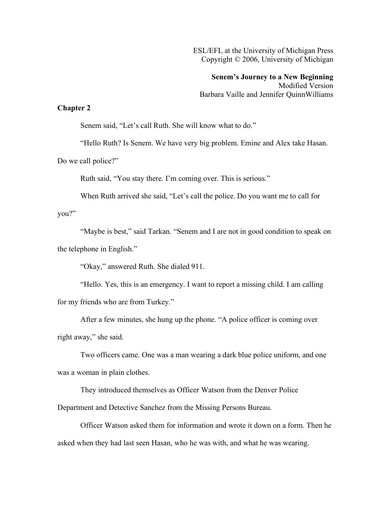ESL/EFL at the University of Michigan Press Copyright © 2006, University of Michigan

**Senem's Journey to a New Beginning** Modified Version Barbara Vaille and Jennifer QuinnWilliams

## **Chapter 2**

Senem said, "Let's call Ruth. She will know what to do."

"Hello Ruth? Is Senem. We have very big problem. Emine and Alex take Hasan.

Do we call police?"

Ruth said, "You stay there. I'm coming over. This is serious."

When Ruth arrived she said, "Let's call the police. Do you want me to call for

you?"

"Maybe is best," said Tarkan. "Senem and I are not in good condition to speak on the telephone in English."

"Okay," answered Ruth. She dialed 911.

"Hello. Yes, this is an emergency. I want to report a missing child. I am calling for my friends who are from Turkey."

After a few minutes, she hung up the phone. "A police officer is coming over right away," she said.

Two officers came. One was a man wearing a dark blue police uniform, and one was a woman in plain clothes.

They introduced themselves as Officer Watson from the Denver Police

Department and Detective Sanchez from the Missing Persons Bureau.

Officer Watson asked them for information and wrote it down on a form. Then he asked when they had last seen Hasan, who he was with, and what he was wearing.